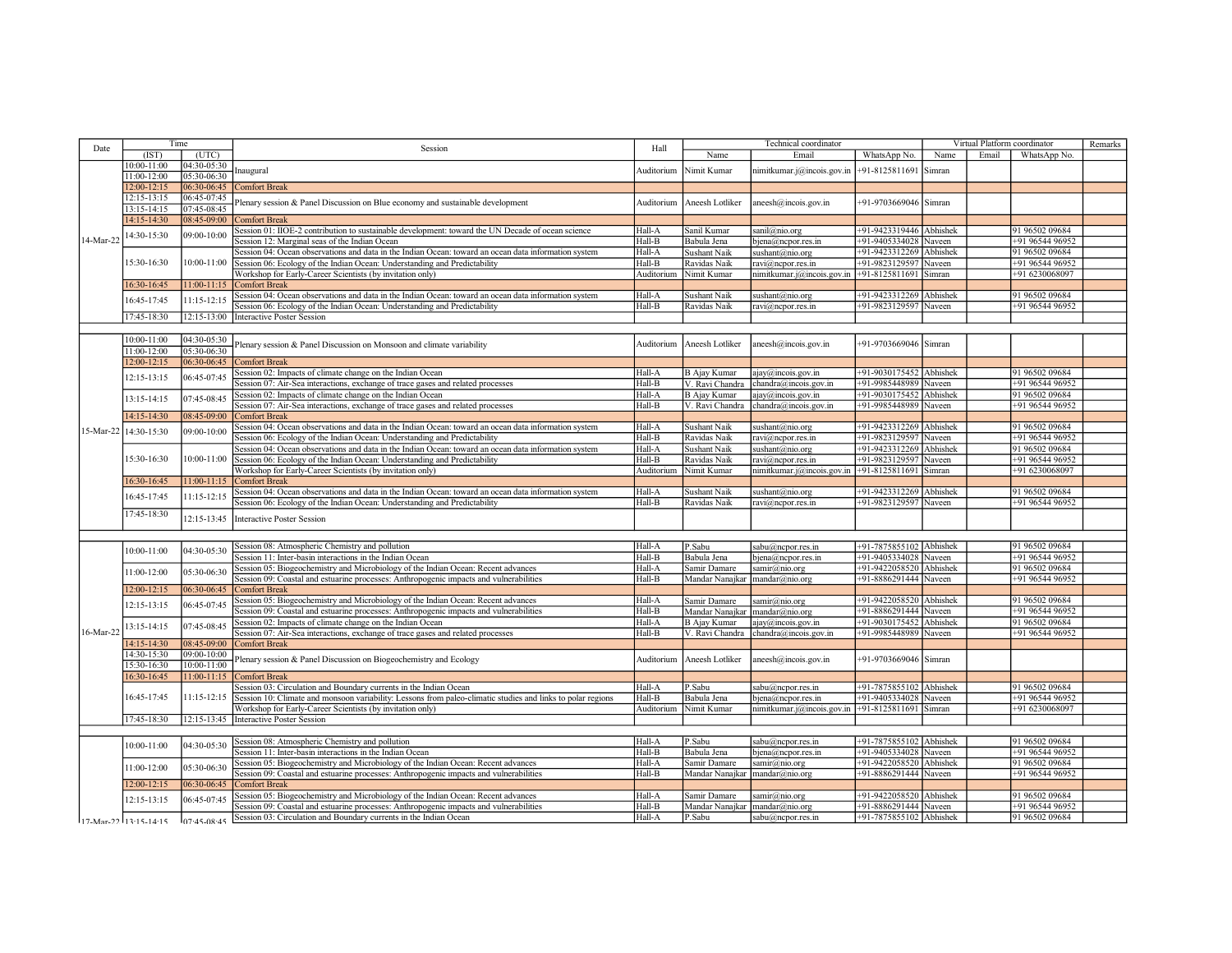| Date      | Time<br>(IST)<br>(UTC)     |                 | Session                                                                                                                                      | Hall                 | Technical coordinator                  |                                             |                                  | Virtual Platform coordinator |       |                                   | Remarks |
|-----------|----------------------------|-----------------|----------------------------------------------------------------------------------------------------------------------------------------------|----------------------|----------------------------------------|---------------------------------------------|----------------------------------|------------------------------|-------|-----------------------------------|---------|
|           |                            |                 |                                                                                                                                              |                      | Name                                   | Email                                       | WhatsApp No.                     | Name                         | Email | WhatsApp No.                      |         |
| 14-Mar-22 | 10:00-11:00                | 04:30-05:30     | naugural                                                                                                                                     | Auditorium           | Nimit Kumar                            | nimitkumar.j@incois.gov.in                  | +91-8125811691                   | Simran                       |       |                                   |         |
|           | 11:00-12:00                | 05:30-06:30     |                                                                                                                                              |                      |                                        |                                             |                                  |                              |       |                                   |         |
|           | 12:00-12:15                | 06:30-06:45     | Comfort Break                                                                                                                                |                      |                                        |                                             |                                  |                              |       |                                   |         |
|           | 12:15-13:15                | 06:45-07:45     | lenary session & Panel Discussion on Blue economy and sustainable development                                                                | Auditorium           | Aneesh Lotliker                        | aneesh@incois.gov.in                        | +91-9703669046 Simran            |                              |       |                                   |         |
|           | 13:15-14:15                | 07:45-08:45     |                                                                                                                                              |                      |                                        |                                             |                                  |                              |       |                                   |         |
|           | 14:15-14:30                | 08:45-09:00     | <b>Comfort Break</b>                                                                                                                         |                      |                                        |                                             |                                  |                              |       |                                   |         |
|           | 14:30-15:30                | 09:00-10:00     | Session 01: IIOE-2 contribution to sustainable development: toward the UN Decade of ocean science                                            | Hall-A               | Sanil Kumar                            | sanil@nio.org                               | +91-9423319446 Abhishek          |                              |       | 91 96502 09684                    |         |
|           |                            |                 | Session 12: Marginal seas of the Indian Ocean                                                                                                | Hall-B               | Babula Jena                            | ojena@ncpor.res.in                          | +91-9405334028 Naveen            |                              |       | +91 96544 96952                   |         |
|           | 15:30-16:30                | 10:00-11:00     | Session 04: Ocean observations and data in the Indian Ocean: toward an ocean data information system                                         | Hall-A               | Sushant Naik                           | sushant@nio.org                             | +91-9423312269 Abhishek          |                              |       | 91 96502 09684                    |         |
|           |                            |                 | Session 06: Ecology of the Indian Ocean: Understanding and Predictability                                                                    | Hall-B               | Ravidas Naik                           | ravi@ncpor.res.in                           | +91-9823129597 Naveen            |                              |       | +91 96544 96952                   |         |
|           |                            |                 | Workshop for Early-Career Scientists (by invitation only)                                                                                    | Auditorium           | Nimit Kumar                            | nimitkumar.j@incois.gov.in                  | +91-8125811691 Simran            |                              |       | +91 6230068097                    |         |
|           | 16:30-16:45                | $11:00 - 11:15$ | Comfort Break                                                                                                                                |                      |                                        |                                             |                                  |                              |       |                                   |         |
|           | 16:45-17:45                | 11:15-12:15     | Session 04: Ocean observations and data in the Indian Ocean: toward an ocean data information system                                         | Hall-A               | Sushant Naik                           | sushant@nio.org                             | +91-9423312269                   | Abhishek                     |       | 91 96502 09684                    |         |
|           |                            |                 | Session 06: Ecology of the Indian Ocean: Understanding and Predictability                                                                    | Hall-B               | Ravidas Naik                           | ravi@ncpor.res.in                           | +91-9823129597 Naveen            |                              |       | +91 96544 96952                   |         |
|           | 17:45-18:30                | $12:15 - 13:00$ | <b>Interactive Poster Session</b>                                                                                                            |                      |                                        |                                             |                                  |                              |       |                                   |         |
|           |                            |                 |                                                                                                                                              |                      |                                        |                                             |                                  |                              |       |                                   |         |
|           | 10:00-11:00                | 04:30-05:30     | Plenary session & Panel Discussion on Monsoon and climate variability                                                                        | Auditorium           | Aneesh Lotliker                        | $a$ neesh $@$ incois.gov.in                 | +91-9703669046 Simran            |                              |       |                                   |         |
|           | 11:00-12:00                | 05:30-06:30     |                                                                                                                                              |                      |                                        |                                             |                                  |                              |       |                                   |         |
|           | $12:00 - 12:15$            | 06:30-06:45     | <b>Comfort Break</b>                                                                                                                         |                      |                                        |                                             | +91-9030175452 Abhishek          |                              |       | 91 96502 09684                    |         |
|           | 12:15-13:15                | 06:45-07:45     | Session 02: Impacts of climate change on the Indian Ocean<br>Session 07: Air-Sea interactions, exchange of trace gases and related processes | Hall-A<br>Hall-B     | <b>B</b> Ajay Kumar<br>V. Ravi Chandra | ajay@incois.gov.in<br>chandra@incois.gov.in | +91-9985448989                   | Naveen                       |       | +91 96544 96952                   |         |
|           |                            |                 | Session 02: Impacts of climate change on the Indian Ocean                                                                                    | Hall-A               | <b>B</b> Ajay Kumar                    | $a$ jay $@$ jncois.gov.in                   | +91-9030175452 Abhishek          |                              |       | 91 96502 09684                    |         |
|           | 13:15-14:15                | 07:45-08:45     | Session 07: Air-Sea interactions, exchange of trace gases and related processes                                                              | Hall-B               | V. Ravi Chandra                        | chandra@incois.gov.in                       | +91-9985448989 Naveen            |                              |       | +91 96544 96952                   |         |
|           | 14:15-14:30                | 08:45-09:00     | Comfort Break                                                                                                                                |                      |                                        |                                             |                                  |                              |       |                                   |         |
|           |                            |                 | Session 04: Ocean observations and data in the Indian Ocean: toward an ocean data information system                                         | Hall-A               | Sushant Naik                           | sushant@nio.org                             | +91-9423312269 Abhishek          |                              |       | 91 96502 09684                    |         |
|           | 15-Mar-22 14:30-15:30      | 09:00-10:00     | Session 06: Ecology of the Indian Ocean: Understanding and Predictability                                                                    | Hall-B               | Ravidas Naik                           | ravi@ncpor.res.in                           | +91-9823129597 Naveen            |                              |       | +91 96544 96952                   |         |
|           |                            |                 | Session 04: Ocean observations and data in the Indian Ocean: toward an ocean data information system                                         | Hall-A               | <b>Sushant Naik</b>                    | sushant@nio.org                             | +91-9423312269                   | Abhishek                     |       | 91 96502 09684                    |         |
|           | 15:30-16:30                | 10:00-11:00     | Session 06: Ecology of the Indian Ocean: Understanding and Predictability                                                                    | Hall-B               | Ravidas Naik                           | ravi@ncpor.res.in                           | +91-9823129597 Naveen            |                              |       | +91 96544 96952                   |         |
|           |                            |                 | Workshop for Early-Career Scientists (by invitation only)                                                                                    | Auditorium           | Nimit Kumar                            | nimitkumar.j@incois.gov.in                  | +91-8125811691 Simran            |                              |       | +91 6230068097                    |         |
|           | 16:30-16:45                | $11:00 - 11:15$ | <b>Comfort Break</b>                                                                                                                         |                      |                                        |                                             |                                  |                              |       |                                   |         |
|           |                            |                 | Session 04: Ocean observations and data in the Indian Ocean: toward an ocean data information system                                         | Hall-A               | <b>Sushant Naik</b>                    | sushant@nio.org                             | +91-9423312269                   | Abhishek                     |       | 91 96502 09684                    |         |
|           | 16:45-17:45                | 11:15-12:15     | Session 06: Ecology of the Indian Ocean: Understanding and Predictability                                                                    | Hall-B               | Ravidas Naik                           | ravi@ncpor.res.in                           | +91-9823129597 Naveen            |                              |       | +91 96544 96952                   |         |
|           | 17:45-18:30                | 12:15-13:45     |                                                                                                                                              |                      |                                        |                                             |                                  |                              |       |                                   |         |
|           |                            |                 | <b>Interactive Poster Session</b>                                                                                                            |                      |                                        |                                             |                                  |                              |       |                                   |         |
|           |                            |                 |                                                                                                                                              |                      |                                        |                                             |                                  |                              |       |                                   |         |
|           | 10:00-11:00                | 04:30-05:30     | Session 08: Atmospheric Chemistry and pollution                                                                                              | Hall-A               | P.Sabu                                 | sabu@ncpor.res.in                           | +91-7875855102 Abhishek          |                              |       | 91 96502 09684                    |         |
|           |                            |                 | Session 11: Inter-basin interactions in the Indian Ocean                                                                                     | Hall-B               | Babula Jena                            | bjena@ncpor.res.in                          | +91-9405334028 Naveen            |                              |       | +91 96544 96952                   |         |
|           | 11:00-12:00                | 05:30-06:30     | Session 05: Biogeochemistry and Microbiology of the Indian Ocean: Recent advances                                                            | Hall-A               | Samir Damare                           | samir@nio.org                               | +91-9422058520 Abhishek          |                              |       | 91 96502 09684                    |         |
|           |                            |                 | Session 09: Coastal and estuarine processes: Anthropogenic impacts and vulnerabilities                                                       | Hall-B               | Mandar Nanajkar mandar@nio.org         |                                             | +91-8886291444 Naveen            |                              |       | +91 96544 96952                   |         |
|           | $12:00 - 12:15$            | 06:30-06:45     | Comfort Break                                                                                                                                |                      |                                        |                                             |                                  |                              |       |                                   |         |
|           | 12:15-13:15                | 06:45-07:45     | Session 05: Biogeochemistry and Microbiology of the Indian Ocean: Recent advances                                                            | Hall-A               | Samir Damare                           | samir@nio.org                               | +91-9422058520 Abhishek          |                              |       | 91 96502 09684                    |         |
|           |                            |                 | Session 09: Coastal and estuarine processes: Anthropogenic impacts and vulnerabilities                                                       | Hall-B               | Mandar Nanajkar mandar@nio.org         |                                             | +91-8886291444 Naveen            |                              |       | +91 96544 96952                   |         |
|           | 13:15-14:15                | 07:45-08:45     | Session 02: Impacts of climate change on the Indian Ocean                                                                                    | Hall-A               | <b>B</b> Ajay Kumar                    | ajay@incois.gov.in                          | +91-9030175452 Abhishek          |                              |       | 91 96502 09684                    |         |
| 16-Mar-22 |                            |                 | Session 07: Air-Sea interactions, exchange of trace gases and related processes                                                              | Hall-B               | V. Ravi Chandra                        | chandra@incois.gov.in                       | +91-9985448989 Naveen            |                              |       | +91 96544 96952                   |         |
|           | 14:15-14:30                | 08:45-09:00     | Comfort Break                                                                                                                                |                      |                                        |                                             |                                  |                              |       |                                   |         |
|           | 14:30-15:30                | 09:00-10:00     | lenary session & Panel Discussion on Biogeochemistry and Ecology                                                                             | Auditorium           | Aneesh Lotliker                        | $aneesh@$ incois.gov.in                     | +91-9703669046 Simran            |                              |       |                                   |         |
|           | 15:30-16:30                | $10:00 - 11:00$ |                                                                                                                                              |                      |                                        |                                             |                                  |                              |       |                                   |         |
|           | 16:30-16:45                | $11:00 - 11:15$ | <b>Comfort Break</b>                                                                                                                         |                      |                                        |                                             |                                  |                              |       |                                   |         |
|           | 16:45-17:45<br>17:45-18:30 | 11:15-12:15     | Session 03: Circulation and Boundary currents in the Indian Ocean                                                                            | Hall-A               | P.Sabu                                 | sabu@ncpor.res.in                           | +91-7875855102                   | Abhishek                     |       | 91 96502 09684                    |         |
|           |                            |                 | Session 10: Climate and monsoon variability: Lessons from paleo-climatic studies and links to polar regions                                  | Hall-B<br>Auditorium | Babula Jena                            | ojena@ncpor.res.in                          | +91-9405334028<br>+91-8125811691 | Naveen                       |       | +91 96544 96952<br>+91 6230068097 |         |
|           |                            |                 | Workshop for Early-Career Scientists (by invitation only)                                                                                    |                      | Nimit Kumar                            | nimitkumar.j@incois.gov.in                  |                                  | Simran                       |       |                                   |         |
|           |                            | 12:15-13:45     | Interactive Poster Session                                                                                                                   |                      |                                        |                                             |                                  |                              |       |                                   |         |
|           |                            |                 | Session 08: Atmospheric Chemistry and pollution                                                                                              | Hall-A               | P.Sabu                                 | sabu@ncporres.in                            | +91-7875855102 Abhishek          |                              |       | 91 96502 09684                    |         |
|           | 10:00-11:00                | 04:30-05:30     | Session 11: Inter-basin interactions in the Indian Ocean                                                                                     | Hall-B               | Babula Jena                            | ojena@ncpor.res.in                          | +91-9405334028                   | Naveen                       |       | +91 96544 96952                   |         |
|           |                            |                 | Session 05: Biogeochemistry and Microbiology of the Indian Ocean: Recent advances                                                            | Hall-A               | Samir Damare                           | samir@nio.org                               | +91-9422058520 Abhishek          |                              |       | 91 96502 09684                    |         |
|           | 11:00-12:00                | 05:30-06:30     | Session 09: Coastal and estuarine processes: Anthropogenic impacts and vulnerabilities                                                       | Hall-B               | Mandar Nanajkar                        | mandar@no.org                               | +91-8886291444 Naveen            |                              |       | +91 96544 96952                   |         |
|           | $12:00 - 12:15$            | 06:30-06:45     | Comfort Break                                                                                                                                |                      |                                        |                                             |                                  |                              |       |                                   |         |
|           |                            |                 | Session 05: Biogeochemistry and Microbiology of the Indian Ocean: Recent advances                                                            | Hall-A               | Samir Damare                           | samir@nio.org                               | +91-9422058520 Abhishek          |                              |       | 91 96502 09684                    |         |
|           | 12:15-13:15                | 06:45-07:45     | Session 09: Coastal and estuarine processes: Anthropogenic impacts and vulnerabilities                                                       | Hall-B               | Mandar Nanajkar   mandar@nio.org       |                                             | +91-8886291444 Naveen            |                              |       | +91 96544 96952                   |         |
|           |                            |                 | Session 03: Circulation and Boundary currents in the Indian Ocean                                                                            | Hall-A               | P.Sabu                                 | sabu@ncpor.res.in                           | +91-7875855102 Abhishek          |                              |       | 91 96502 09684                    |         |
|           | 117-Mar-22 113:15-14:15    | 07.45.08.45     |                                                                                                                                              |                      |                                        |                                             |                                  |                              |       |                                   |         |